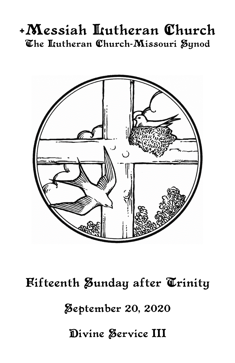# +Messiah Lutheran Church The Itutheran Church-Missouri Synod



**Fifteenth Zunday after Trinity Zeptember 20, 2020** Divine Service III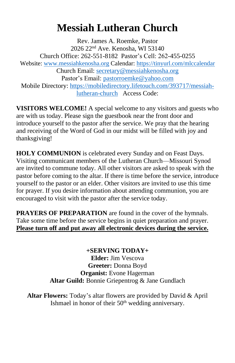# **Messiah Lutheran Church**

Rev. James A. Roemke, Pastor 2026 22nd Ave. Kenosha, WI 53140 Church Office: 262-551-8182 Pastor's Cell: 262-455-0255 Website: [www.messiahkenosha.org](http://www.messiahkenosha.org/) Calendar: <https://tinyurl.com/mlccalendar> Church Email: [secretary@messiahkenosha.org](https://d.docs.live.net/fdeed90a8019e9e6/Documents/2019%20PDF%20Bulletins/secretary@messiahkenosha.org) Pastor's Email: [pastorroemke@yahoo.com](mailto:pastorroemke@yahoo.com) Mobile Directory: [https://mobiledirectory.lifetouch.com/393717/messiah](https://mobiledirectory.lifetouch.com/393717/messiah-lutheran-church)[lutheran-church](https://mobiledirectory.lifetouch.com/393717/messiah-lutheran-church) Access Code:

**VISITORS WELCOME!** A special welcome to any visitors and guests who are with us today. Please sign the guestbook near the front door and introduce yourself to the pastor after the service. We pray that the hearing and receiving of the Word of God in our midst will be filled with joy and thanksgiving!

**HOLY COMMUNION** is celebrated every Sunday and on Feast Days. Visiting communicant members of the Lutheran Church—Missouri Synod are invited to commune today. All other visitors are asked to speak with the pastor before coming to the altar. If there is time before the service, introduce yourself to the pastor or an elder. Other visitors are invited to use this time for prayer. If you desire information about attending communion, you are encouraged to visit with the pastor after the service today.

**PRAYERS OF PREPARATION** are found in the cover of the hymnals. Take some time before the service begins in quiet preparation and prayer. **Please turn off and put away all electronic devices during the service.**

# **+SERVING TODAY+**

**Elder:** Jim Vescova **Greeter:** Donna Boyd **Organist:** Evone Hagerman **Altar Guild:** Bonnie Griepentrog & Jane Gundlach

**Altar Flowers:** Today's altar flowers are provided by David & April Ishmael in honor of their  $50<sup>th</sup>$  wedding anniversary.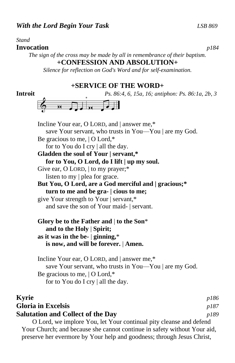#### *Stand*

#### **Invocation** *p184*

*The sign of the cross may be made by all in remembrance of their baptism.*

### **+CONFESSION AND ABSOLUTION+**

*Silence for reflection on God's Word and for self-examination.*

#### **+SERVICE OF THE WORD+**

**Introit** *Ps. 86:4, 6, 15a, 16; antiphon: Ps. 86:1a, 2b, 3*



Incline Your ear, O LORD, and | answer me,\* save Your servant, who trusts in You—You | are my God. Be gracious to me, | O Lord,\* for to You do I cry | all the day. **Gladden the soul of Your | servant,\* for to You, O Lord, do I lift | up my soul.** Give ear, O LORD,  $\vert$  to my prayer;\* listen to my | plea for grace. **But You, O Lord, are a God merciful and | gracious;\* turn to me and be gra- | cious to me;** give Your strength to Your | servant,\* and save the son of Your maid- | servant.

**Glory be to the Father and** | **to the Son**\*  **and to the Holy** | **Spirit; as it was in the be-** | **ginning,**\*  **is now, and will be forever.** | **Amen.**

Incline Your ear, O LORD, and | answer me,\* save Your servant, who trusts in You—You | are my God. Be gracious to me, | O Lord,\* for to You do I cry | all the day.

### **Kyrie** *p186* **Gloria in Excelsis** *p187* **Salutation and Collect of the Day** *p189* O Lord, we implore You, let Your continual pity cleanse and defend

Your Church; and because she cannot continue in safety without Your aid, preserve her evermore by Your help and goodness; through Jesus Christ,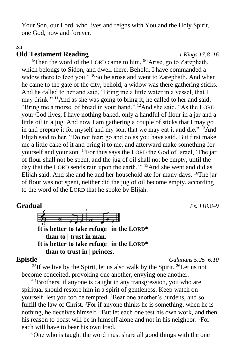Your Son, our Lord, who lives and reigns with You and the Holy Spirit, one God, now and forever.

#### *Sit*

#### **Old Testament Reading** *1 Kings 17:8–16*

<sup>8</sup>Then the word of the LORD came to him,  $94$ <sup>4</sup>Arise, go to Zarephath, which belongs to Sidon, and dwell there. Behold, I have commanded a widow there to feed you." <sup>10</sup>So he arose and went to Zarephath. And when he came to the gate of the city, behold, a widow was there gathering sticks. And he called to her and said, "Bring me a little water in a vessel, that I may drink." <sup>11</sup>And as she was going to bring it, he called to her and said, "Bring me a morsel of bread in your hand." <sup>12</sup>And she said, "As the LORD" your God lives, I have nothing baked, only a handful of flour in a jar and a little oil in a jug. And now I am gathering a couple of sticks that I may go in and prepare it for myself and my son, that we may eat it and die." <sup>13</sup>And Elijah said to her, "Do not fear; go and do as you have said. But first make me a little cake of it and bring it to me, and afterward make something for yourself and your son. <sup>14</sup>For thus says the LORD the God of Israel, 'The jar of flour shall not be spent, and the jug of oil shall not be empty, until the day that the LORD sends rain upon the earth."<sup>15</sup>And she went and did as Elijah said. And she and he and her household ate for many days. <sup>16</sup>The jar of flour was not spent, neither did the jug of oil become empty, according to the word of the LORD that he spoke by Elijah.

### **Gradual** *Ps. 118:8–9*

 $\overrightarrow{a}$  $\overline{p}$ 

**It is better to take refuge | in the LORD\* than to | trust in man. It is better to take refuge | in the LORD\* than to trust in | princes.**

**Epistle** *Galatians 5:25–6:10*

<sup>25</sup>If we live by the Spirit, let us also walk by the Spirit. <sup>26</sup>Let us not become conceited, provoking one another, envying one another.

 $6:1$ Brothers, if anyone is caught in any transgression, you who are spiritual should restore him in a spirit of gentleness. Keep watch on yourself, lest you too be tempted. <sup>2</sup>Bear one another's burdens, and so fulfill the law of Christ. <sup>3</sup>For if anyone thinks he is something, when he is nothing, he deceives himself. <sup>4</sup>But let each one test his own work, and then his reason to boast will be in himself alone and not in his neighbor. <sup>5</sup>For each will have to bear his own load.

6One who is taught the word must share all good things with the one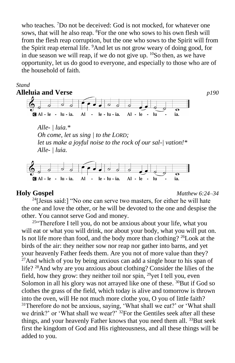who teaches. <sup>7</sup>Do not be deceived: God is not mocked, for whatever one sows, that will he also reap. <sup>8</sup>For the one who sows to his own flesh will from the flesh reap corruption, but the one who sows to the Spirit will from the Spirit reap eternal life. <sup>9</sup>And let us not grow weary of doing good, for in due season we will reap, if we do not give up.  $^{10}$ So then, as we have opportunity, let us do good to everyone, and especially to those who are of the household of faith.

#### *Stand*



**Holy Gospel** *Matthew 6:24–34*

 $24$ [Jesus said:] "No one can serve two masters, for either he will hate the one and love the other, or he will be devoted to the one and despise the other. You cannot serve God and money.

 $25$ "Therefore I tell you, do not be anxious about your life, what you will eat or what you will drink, nor about your body, what you will put on. Is not life more than food, and the body more than clothing? <sup>26</sup>Look at the birds of the air: they neither sow nor reap nor gather into barns, and yet your heavenly Father feeds them. Are you not of more value than they?  $27$ And which of you by being anxious can add a single hour to his span of life? <sup>28</sup>And why are you anxious about clothing? Consider the lilies of the field, how they grow: they neither toil nor spin,  $^{29}$ yet I tell you, even Solomon in all his glory was not arrayed like one of these. <sup>30</sup>But if God so clothes the grass of the field, which today is alive and tomorrow is thrown into the oven, will He not much more clothe you, O you of little faith?  $31$ Therefore do not be anxious, saying, 'What shall we eat?' or 'What shall we drink?' or 'What shall we wear?' <sup>32</sup>For the Gentiles seek after all these things, and your heavenly Father knows that you need them all. <sup>33</sup>But seek first the kingdom of God and His righteousness, and all these things will be added to you.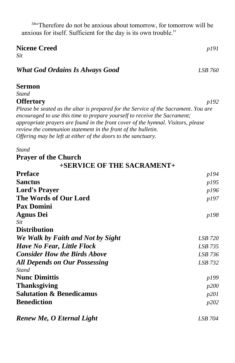<sup>34"</sup>Therefore do not be anxious about tomorrow, for tomorrow will be anxious for itself. Sufficient for the day is its own trouble."

#### **Nicene Creed** *p191*

*Sit*

## *What God Ordains Is Always Good LSB 760*

### **Sermon**

*Stand*

#### **Offertory** *p192*

*Please be seated as the altar is prepared for the Service of the Sacrament. You are encouraged to use this time to prepare yourself to receive the Sacrament; appropriate prayers are found in the front cover of the hymnal. Visitors, please review the communion statement in the front of the bulletin. Offering may be left at either of the doors to the sanctuary.*

#### *Stand*

### **Prayer of the Church**

# **+SERVICE OF THE SACRAMENT+**

| <b>Preface</b><br><b>Sanctus</b>                                                                   | p194<br>p195         |                           |              |
|----------------------------------------------------------------------------------------------------|----------------------|---------------------------|--------------|
|                                                                                                    |                      | <b>Lord's Prayer</b>      | p196         |
| The Words of Our Lord                                                                              | p197                 |                           |              |
| <b>Pax Domini</b><br><b>Agnus Dei</b>                                                              | p198                 |                           |              |
|                                                                                                    |                      | Sit                       |              |
| <b>Distribution</b>                                                                                |                      |                           |              |
| We Walk by Faith and Not by Sight                                                                  | <i>LSB</i> 720       |                           |              |
| Have No Fear, Little Flock                                                                         | LSB 735              |                           |              |
| <b>Consider How the Birds Above</b>                                                                | LSB 736              |                           |              |
| <b>All Depends on Our Possessing</b>                                                               | LSB 732              |                           |              |
| <b>Stand</b><br><b>Nunc Dimittis</b><br><b>Thanksgiving</b><br><b>Salutation &amp; Benedicamus</b> | p199<br>p200<br>p201 |                           |              |
|                                                                                                    |                      | <b>Benediction</b>        | <i>p</i> 202 |
|                                                                                                    |                      | Renew Me, O Eternal Light | LSB 704      |